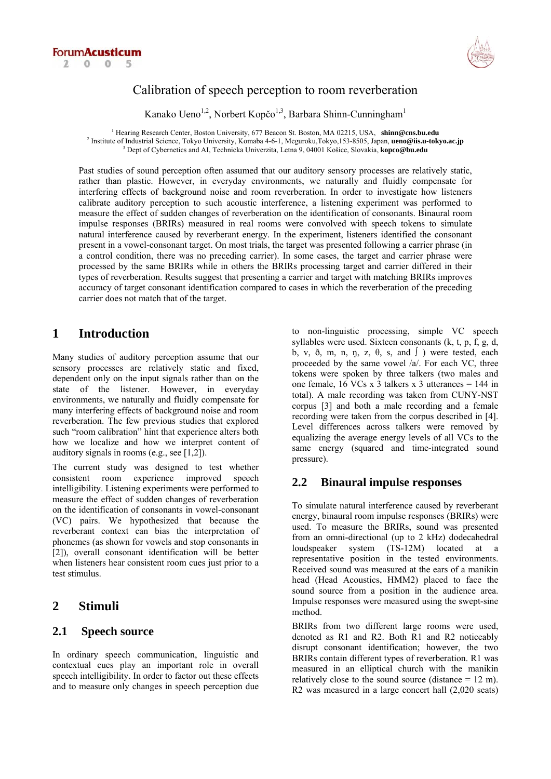



# Calibration of speech perception to room reverberation

Kanako Ueno<sup>1,2</sup>, Norbert Kopčo<sup>1,3</sup>, Barbara Shinn-Cunningham<sup>1</sup>

<sup>1</sup> Hearing Research Center, Boston University, 677 Beacon St. Boston, MA 02215, USA, shinn@cns.bu.edu 2 Institute of Industrial Science, Tokyo University, Komaba 4-6-1, Meguroku,Tokyo,153-8505, Japan, **ueno@iis.u-tokyo.ac.jp** 3 Dept of Cybernetics and AI, Technicka Univerzita, Letna 9, 04001 Košice, Slovakia, **kopco@bu.edu**

Past studies of sound perception often assumed that our auditory sensory processes are relatively static, rather than plastic. However, in everyday environments, we naturally and fluidly compensate for interfering effects of background noise and room reverberation. In order to investigate how listeners calibrate auditory perception to such acoustic interference, a listening experiment was performed to measure the effect of sudden changes of reverberation on the identification of consonants. Binaural room impulse responses (BRIRs) measured in real rooms were convolved with speech tokens to simulate natural interference caused by reverberant energy. In the experiment, listeners identified the consonant present in a vowel-consonant target. On most trials, the target was presented following a carrier phrase (in a control condition, there was no preceding carrier). In some cases, the target and carrier phrase were processed by the same BRIRs while in others the BRIRs processing target and carrier differed in their types of reverberation. Results suggest that presenting a carrier and target with matching BRIRs improves accuracy of target consonant identification compared to cases in which the reverberation of the preceding carrier does not match that of the target.

# **1 Introduction**

Many studies of auditory perception assume that our sensory processes are relatively static and fixed, dependent only on the input signals rather than on the state of the listener. However, in everyday environments, we naturally and fluidly compensate for many interfering effects of background noise and room reverberation. The few previous studies that explored such "room calibration" hint that experience alters both how we localize and how we interpret content of auditory signals in rooms (e.g., see [1,2]).

The current study was designed to test whether consistent room experience improved speech intelligibility. Listening experiments were performed to measure the effect of sudden changes of reverberation on the identification of consonants in vowel-consonant (VC) pairs. We hypothesized that because the reverberant context can bias the interpretation of phonemes (as shown for vowels and stop consonants in [2]), overall consonant identification will be better when listeners hear consistent room cues just prior to a test stimulus.

# **2 Stimuli**

# **2.1 Speech source**

In ordinary speech communication, linguistic and contextual cues play an important role in overall speech intelligibility. In order to factor out these effects and to measure only changes in speech perception due to non-linguistic processing, simple VC speech syllables were used. Sixteen consonants (k, t, p, f, g, d, b, v,  $\delta$ , m, n, n, z,  $\theta$ , s, and  $\int$ ) were tested, each proceeded by the same vowel /a/. For each VC, three tokens were spoken by three talkers (two males and one female, 16 VCs x 3 talkers x 3 utterances  $= 144$  in total). A male recording was taken from CUNY-NST corpus [3] and both a male recording and a female recording were taken from the corpus described in [4]. Level differences across talkers were removed by equalizing the average energy levels of all VCs to the same energy (squared and time-integrated sound pressure).

# **2.2 Binaural impulse responses**

To simulate natural interference caused by reverberant energy, binaural room impulse responses (BRIRs) were used. To measure the BRIRs, sound was presented from an omni-directional (up to 2 kHz) dodecahedral loudspeaker system (TS-12M) located at a representative position in the tested environments. Received sound was measured at the ears of a manikin head (Head Acoustics, HMM2) placed to face the sound source from a position in the audience area. Impulse responses were measured using the swept-sine method.

BRIRs from two different large rooms were used, denoted as R1 and R2. Both R1 and R2 noticeably disrupt consonant identification; however, the two BRIRs contain different types of reverberation. R1 was measured in an elliptical church with the manikin relatively close to the sound source (distance  $= 12$  m). R2 was measured in a large concert hall (2,020 seats)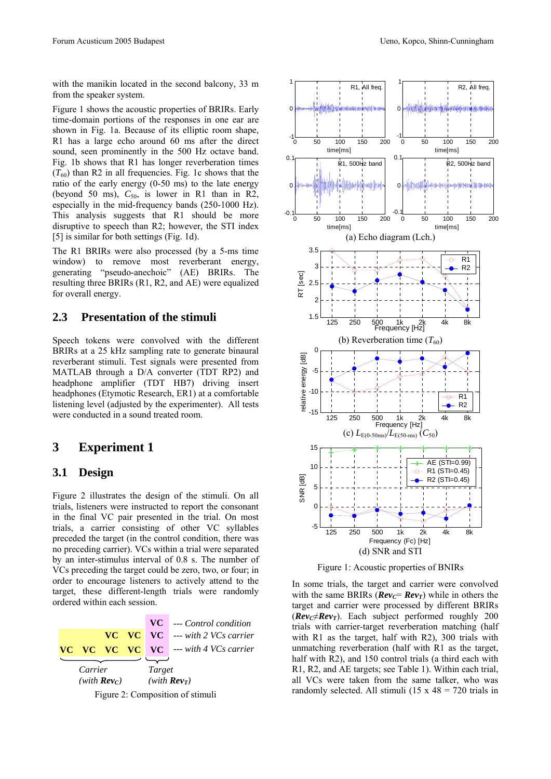with the manikin located in the second balcony, 33 m from the speaker system.

Figure 1 shows the acoustic properties of BRIRs. Early time-domain portions of the responses in one ear are shown in Fig. 1a. Because of its elliptic room shape, R1 has a large echo around 60 ms after the direct sound, seen prominently in the 500 Hz octave band. Fig. 1b shows that R1 has longer reverberation times  $(T_{60})$  than R2 in all frequencies. Fig. 1c shows that the ratio of the early energy (0-50 ms) to the late energy (beyond 50 ms),  $C_{50}$ , is lower in R1 than in R2, especially in the mid-frequency bands (250-1000 Hz). This analysis suggests that R1 should be more disruptive to speech than R2; however, the STI index [5] is similar for both settings (Fig. 1d).

The R1 BRIRs were also processed (by a 5-ms time window) to remove most reverberant energy, generating "pseudo-anechoic" (AE) BRIRs. The resulting three BRIRs (R1, R2, and AE) were equalized for overall energy.

#### **2.3 Presentation of the stimuli**

Speech tokens were convolved with the different BRIRs at a 25 kHz sampling rate to generate binaural reverberant stimuli. Test signals were presented from MATLAB through a D/A converter (TDT RP2) and headphone amplifier (TDT HB7) driving insert headphones (Etymotic Research, ER1) at a comfortable listening level (adjusted by the experimenter). All tests were conducted in a sound treated room.

# **3 Experiment 1**

#### **3.1 Design**

Figure 2 illustrates the design of the stimuli. On all trials, listeners were instructed to report the consonant in the final VC pair presented in the trial. On most trials, a carrier consisting of other VC syllables preceded the target (in the control condition, there was no preceding carrier). VCs within a trial were separated by an inter-stimulus interval of 0.8 s. The number of VCs preceding the target could be zero, two, or four; in order to encourage listeners to actively attend to the target, these different-length trials were randomly ordered within each session.



Figure 2: Composition of stimuli



Figure 1: Acoustic properties of BNIRs

In some trials, the target and carrier were convolved with the same BRIRs ( $Re v_C = Re v_T$ ) while in others the target and carrier were processed by different BRIRs  $(Rev_C \neq Rev_T)$ . Each subject performed roughly 200 trials with carrier-target reverberation matching (half with R1 as the target, half with R2), 300 trials with unmatching reverberation (half with R1 as the target, half with R2), and 150 control trials (a third each with R1, R2, and AE targets; see Table 1). Within each trial, all VCs were taken from the same talker, who was randomly selected. All stimuli (15 x  $48 = 720$  trials in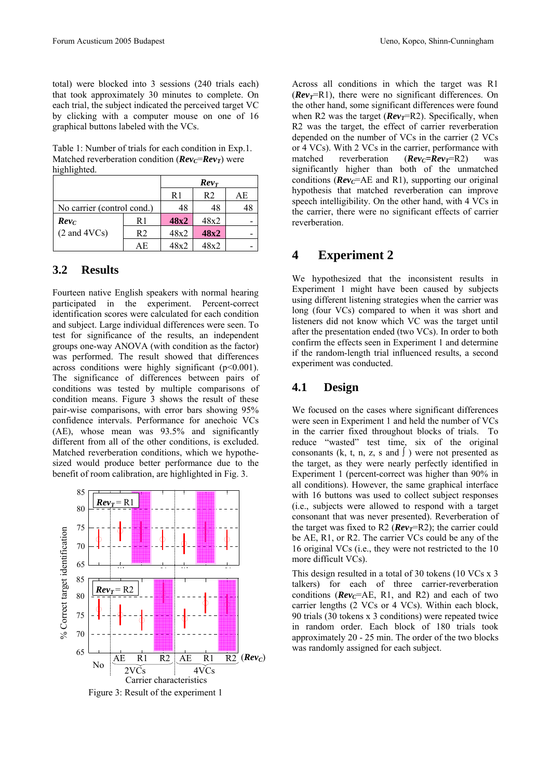total) were blocked into 3 sessions (240 trials each) that took approximately 30 minutes to complete. On each trial, the subject indicated the perceived target VC by clicking with a computer mouse on one of 16 graphical buttons labeled with the VCs.

Table 1: Number of trials for each condition in Exp.1. Matched reverberation condition ( $Rev_C=Rev_T$ ) were highlighted.

|                            |     | $Rev_T$ |      |    |
|----------------------------|-----|---------|------|----|
|                            |     | R1      | R2   | AЕ |
| No carrier (control cond.) |     | 48      | 48   |    |
| $Re v_C$                   | R1  | 48x2    | 48x2 |    |
| $(2 \text{ and } 4VCs)$    | R2  | 48x2    | 48x2 |    |
|                            | A E | 48x2    | 48x2 |    |

### **3.2 Results**

Fourteen native English speakers with normal hearing participated in the experiment. Percent-correct identification scores were calculated for each condition and subject. Large individual differences were seen. To test for significance of the results, an independent groups one-way ANOVA (with condition as the factor) was performed. The result showed that differences across conditions were highly significant  $(p<0.001)$ . The significance of differences between pairs of conditions was tested by multiple comparisons of condition means. Figure 3 shows the result of these pair-wise comparisons, with error bars showing 95% confidence intervals. Performance for anechoic VCs (AE), whose mean was 93.5% and significantly different from all of the other conditions, is excluded. Matched reverberation conditions, which we hypothesized would produce better performance due to the benefit of room calibration, are highlighted in Fig. 3.



Across all conditions in which the target was R1  $(Rev_T = R1)$ , there were no significant differences. On the other hand, some significant differences were found when R2 was the target  $(Rev_T = R2)$ . Specifically, when R2 was the target, the effect of carrier reverberation depended on the number of VCs in the carrier (2 VCs or 4 VCs). With 2 VCs in the carrier, performance with matched reverberation  $(Rev_C=Rev_T=R2)$  was significantly higher than both of the unmatched conditions ( $\text{Rev}_{\text{C}}$ =AE and R1), supporting our original hypothesis that matched reverberation can improve speech intelligibility. On the other hand, with 4 VCs in the carrier, there were no significant effects of carrier reverberation.

# **4 Experiment 2**

We hypothesized that the inconsistent results in Experiment 1 might have been caused by subjects using different listening strategies when the carrier was long (four VCs) compared to when it was short and listeners did not know which VC was the target until after the presentation ended (two VCs). In order to both confirm the effects seen in Experiment 1 and determine if the random-length trial influenced results, a second experiment was conducted.

### **4.1 Design**

We focused on the cases where significant differences were seen in Experiment 1 and held the number of VCs in the carrier fixed throughout blocks of trials. To reduce "wasted" test time, six of the original consonants (k, t, n, z, s and  $\int$ ) were not presented as the target, as they were nearly perfectly identified in Experiment 1 (percent-correct was higher than 90% in all conditions). However, the same graphical interface with 16 buttons was used to collect subject responses (i.e., subjects were allowed to respond with a target consonant that was never presented). Reverberation of the target was fixed to R2 ( $Rev_T$ =R2); the carrier could be AE, R1, or R2. The carrier VCs could be any of the 16 original VCs (i.e., they were not restricted to the 10 more difficult VCs).

This design resulted in a total of 30 tokens (10 VCs x 3 talkers) for each of three carrier-reverberation conditions ( $\mathbf{Rev}_{\mathcal{C}} = \mathbf{AE}, \mathbf{R1}, \text{ and } \mathbf{R2}$ ) and each of two carrier lengths (2 VCs or 4 VCs). Within each block, 90 trials (30 tokens x 3 conditions) were repeated twice in random order. Each block of 180 trials took approximately 20 - 25 min. The order of the two blocks was randomly assigned for each subject.